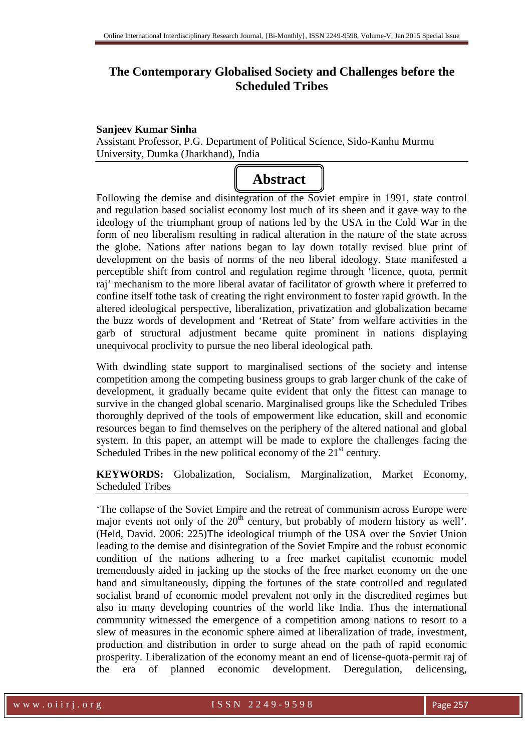# **The Contemporary Globalised Society and Challenges before the Scheduled Tribes**

#### **Sanjeev Kumar Sinha**

Assistant Professor, P.G. Department of Political Science, Sido-Kanhu Murmu University, Dumka (Jharkhand), India



Following the demise and disintegration of the Soviet empire in 1991, state control and regulation based socialist economy lost much of its sheen and it gave way to the ideology of the triumphant group of nations led by the USA in the Cold War in the form of neo liberalism resulting in radical alteration in the nature of the state across the globe. Nations after nations began to lay down totally revised blue print of development on the basis of norms of the neo liberal ideology. State manifested a perceptible shift from control and regulation regime through 'licence, quota, permit raj' mechanism to the more liberal avatar of facilitator of growth where it preferred to confine itself tothe task of creating the right environment to foster rapid growth. In the altered ideological perspective, liberalization, privatization and globalization became the buzz words of development and 'Retreat of State' from welfare activities in the garb of structural adjustment became quite prominent in nations displaying unequivocal proclivity to pursue the neo liberal ideological path.

With dwindling state support to marginalised sections of the society and intense competition among the competing business groups to grab larger chunk of the cake of development, it gradually became quite evident that only the fittest can manage to survive in the changed global scenario. Marginalised groups like the Scheduled Tribes thoroughly deprived of the tools of empowerment like education, skill and economic resources began to find themselves on the periphery of the altered national and global system. In this paper, an attempt will be made to explore the challenges facing the Scheduled Tribes in the new political economy of the  $21<sup>st</sup>$  century.

**KEYWORDS:** Globalization, Socialism, Marginalization, Market Economy, Scheduled Tribes

'The collapse of the Soviet Empire and the retreat of communism across Europe were major events not only of the  $20<sup>th</sup>$  century, but probably of modern history as well'. (Held, David. 2006: 225)The ideological triumph of the USA over the Soviet Union leading to the demise and disintegration of the Soviet Empire and the robust economic condition of the nations adhering to a free market capitalist economic model tremendously aided in jacking up the stocks of the free market economy on the one hand and simultaneously, dipping the fortunes of the state controlled and regulated socialist brand of economic model prevalent not only in the discredited regimes but also in many developing countries of the world like India. Thus the international community witnessed the emergence of a competition among nations to resort to a slew of measures in the economic sphere aimed at liberalization of trade, investment, production and distribution in order to surge ahead on the path of rapid economic prosperity. Liberalization of the economy meant an end of license-quota-permit raj of the era of planned economic development. Deregulation, delicensing,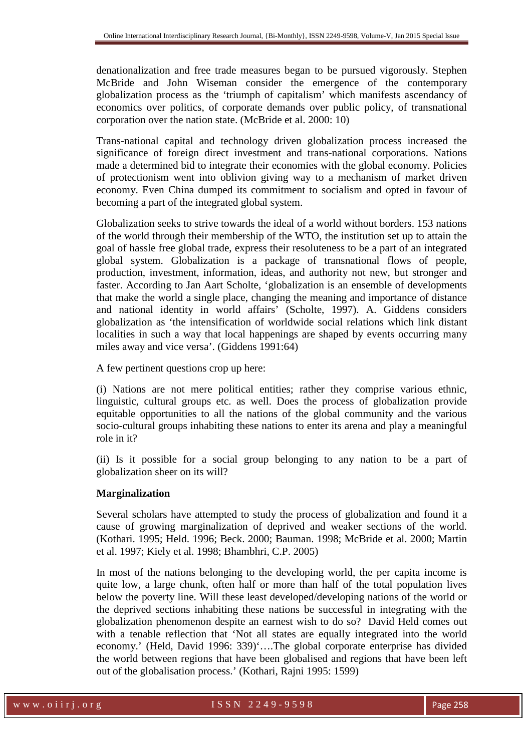denationalization and free trade measures began to be pursued vigorously. Stephen McBride and John Wiseman consider the emergence of the contemporary globalization process as the 'triumph of capitalism' which manifests ascendancy of economics over politics, of corporate demands over public policy, of transnational corporation over the nation state. (McBride et al. 2000: 10)

Trans-national capital and technology driven globalization process increased the significance of foreign direct investment and trans-national corporations. Nations made a determined bid to integrate their economies with the global economy. Policies of protectionism went into oblivion giving way to a mechanism of market driven economy. Even China dumped its commitment to socialism and opted in favour of becoming a part of the integrated global system.

Globalization seeks to strive towards the ideal of a world without borders. 153 nations of the world through their membership of the WTO, the institution set up to attain the goal of hassle free global trade, express their resoluteness to be a part of an integrated global system. Globalization is a package of transnational flows of people, production, investment, information, ideas, and authority not new, but stronger and faster. According to Jan Aart Scholte, 'globalization is an ensemble of developments that make the world a single place, changing the meaning and importance of distance and national identity in world affairs' (Scholte, 1997). A. Giddens considers globalization as 'the intensification of worldwide social relations which link distant localities in such a way that local happenings are shaped by events occurring many miles away and vice versa'. (Giddens 1991:64)

A few pertinent questions crop up here:

(i) Nations are not mere political entities; rather they comprise various ethnic, linguistic, cultural groups etc. as well. Does the process of globalization provide equitable opportunities to all the nations of the global community and the various socio-cultural groups inhabiting these nations to enter its arena and play a meaningful role in it?

(ii) Is it possible for a social group belonging to any nation to be a part of globalization sheer on its will?

#### **Marginalization**

Several scholars have attempted to study the process of globalization and found it a cause of growing marginalization of deprived and weaker sections of the world. (Kothari. 1995; Held. 1996; Beck. 2000; Bauman. 1998; McBride et al. 2000; Martin et al. 1997; Kiely et al. 1998; Bhambhri, C.P. 2005)

In most of the nations belonging to the developing world, the per capita income is quite low, a large chunk, often half or more than half of the total population lives below the poverty line. Will these least developed/developing nations of the world or the deprived sections inhabiting these nations be successful in integrating with the globalization phenomenon despite an earnest wish to do so? David Held comes out with a tenable reflection that 'Not all states are equally integrated into the world economy.' (Held, David 1996: 339)'….The global corporate enterprise has divided the world between regions that have been globalised and regions that have been left out of the globalisation process.' (Kothari, Rajni 1995: 1599)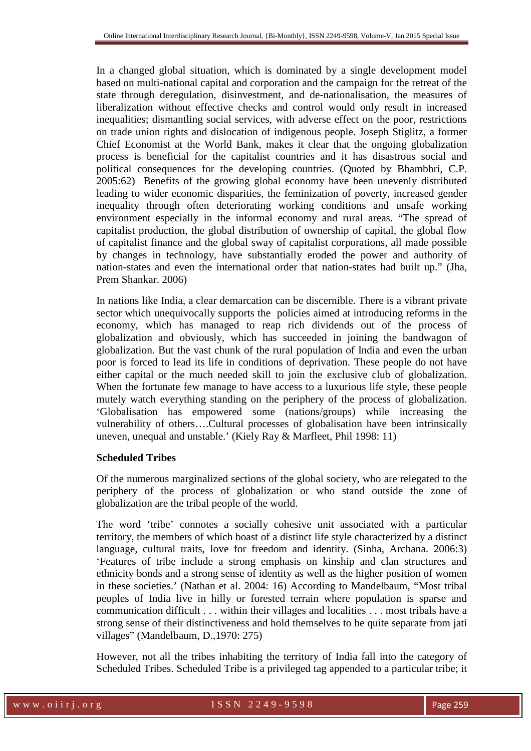In a changed global situation, which is dominated by a single development model based on multi-national capital and corporation and the campaign for the retreat of the state through deregulation, disinvestment, and de-nationalisation, the measures of liberalization without effective checks and control would only result in increased inequalities; dismantling social services, with adverse effect on the poor, restrictions on trade union rights and dislocation of indigenous people. Joseph Stiglitz, a former Chief Economist at the World Bank, makes it clear that the ongoing globalization process is beneficial for the capitalist countries and it has disastrous social and political consequences for the developing countries. (Quoted by Bhambhri, C.P. 2005:62) Benefits of the growing global economy have been unevenly distributed leading to wider economic disparities, the feminization of poverty, increased gender inequality through often deteriorating working conditions and unsafe working environment especially in the informal economy and rural areas. "The spread of capitalist production, the global distribution of ownership of capital, the global flow of capitalist finance and the global sway of capitalist corporations, all made possible by changes in technology, have substantially eroded the power and authority of nation-states and even the international order that nation-states had built up." (Jha, Prem Shankar. 2006)

In nations like India, a clear demarcation can be discernible. There is a vibrant private sector which unequivocally supports the policies aimed at introducing reforms in the economy, which has managed to reap rich dividends out of the process of globalization and obviously, which has succeeded in joining the bandwagon of globalization. But the vast chunk of the rural population of India and even the urban poor is forced to lead its life in conditions of deprivation. These people do not have either capital or the much needed skill to join the exclusive club of globalization. When the fortunate few manage to have access to a luxurious life style, these people mutely watch everything standing on the periphery of the process of globalization. 'Globalisation has empowered some (nations/groups) while increasing the vulnerability of others….Cultural processes of globalisation have been intrinsically uneven, unequal and unstable.' (Kiely Ray & Marfleet, Phil 1998: 11)

#### **Scheduled Tribes**

Of the numerous marginalized sections of the global society, who are relegated to the periphery of the process of globalization or who stand outside the zone of globalization are the tribal people of the world.

The word 'tribe' connotes a socially cohesive unit associated with a particular territory, the members of which boast of a distinct life style characterized by a distinct language, cultural traits, love for freedom and identity. (Sinha, Archana. 2006:3) 'Features of tribe include a strong emphasis on kinship and clan structures and ethnicity bonds and a strong sense of identity as well as the higher position of women in these societies.' (Nathan et al. 2004: 16) According to Mandelbaum, "Most tribal peoples of India live in hilly or forested terrain where population is sparse and communication difficult . . . within their villages and localities . . . most tribals have a strong sense of their distinctiveness and hold themselves to be quite separate from jati villages" (Mandelbaum, D.,1970: 275)

However, not all the tribes inhabiting the territory of India fall into the category of Scheduled Tribes. Scheduled Tribe is a privileged tag appended to a particular tribe; it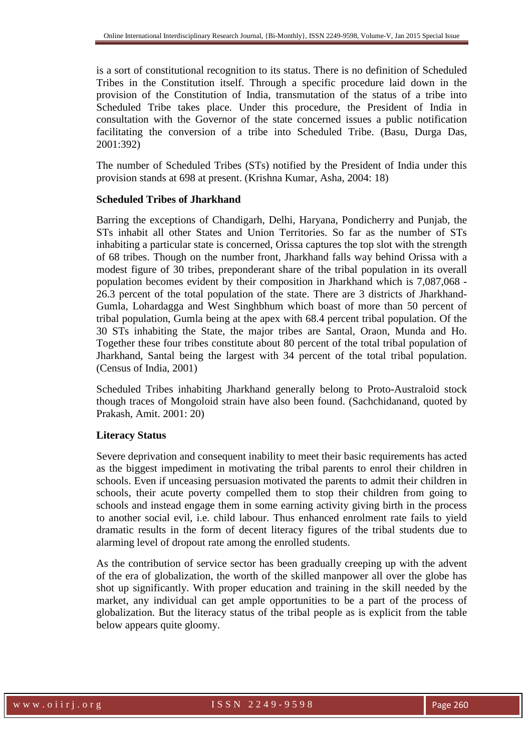is a sort of constitutional recognition to its status. There is no definition of Scheduled Tribes in the Constitution itself. Through a specific procedure laid down in the provision of the Constitution of India, transmutation of the status of a tribe into Scheduled Tribe takes place. Under this procedure, the President of India in consultation with the Governor of the state concerned issues a public notification facilitating the conversion of a tribe into Scheduled Tribe. (Basu, Durga Das, 2001:392)

The number of Scheduled Tribes (STs) notified by the President of India under this provision stands at 698 at present. (Krishna Kumar, Asha, 2004: 18)

#### **Scheduled Tribes of Jharkhand**

Barring the exceptions of Chandigarh, Delhi, Haryana, Pondicherry and Punjab, the STs inhabit all other States and Union Territories. So far as the number of STs inhabiting a particular state is concerned, Orissa captures the top slot with the strength of 68 tribes. Though on the number front, Jharkhand falls way behind Orissa with a modest figure of 30 tribes, preponderant share of the tribal population in its overall population becomes evident by their composition in Jharkhand which is 7,087,068 - 26.3 percent of the total population of the state. There are 3 districts of Jharkhand-Gumla, Lohardagga and West Singhbhum which boast of more than 50 percent of tribal population, Gumla being at the apex with 68.4 percent tribal population. Of the 30 STs inhabiting the State, the major tribes are Santal, Oraon, Munda and Ho. Together these four tribes constitute about 80 percent of the total tribal population of Jharkhand, Santal being the largest with 34 percent of the total tribal population. (Census of India, 2001)

Scheduled Tribes inhabiting Jharkhand generally belong to Proto-Australoid stock though traces of Mongoloid strain have also been found. (Sachchidanand, quoted by Prakash, Amit. 2001: 20)

# **Literacy Status**

Severe deprivation and consequent inability to meet their basic requirements has acted as the biggest impediment in motivating the tribal parents to enrol their children in schools. Even if unceasing persuasion motivated the parents to admit their children in schools, their acute poverty compelled them to stop their children from going to schools and instead engage them in some earning activity giving birth in the process to another social evil, i.e. child labour. Thus enhanced enrolment rate fails to yield dramatic results in the form of decent literacy figures of the tribal students due to alarming level of dropout rate among the enrolled students.

As the contribution of service sector has been gradually creeping up with the advent of the era of globalization, the worth of the skilled manpower all over the globe has shot up significantly. With proper education and training in the skill needed by the market, any individual can get ample opportunities to be a part of the process of globalization. But the literacy status of the tribal people as is explicit from the table below appears quite gloomy.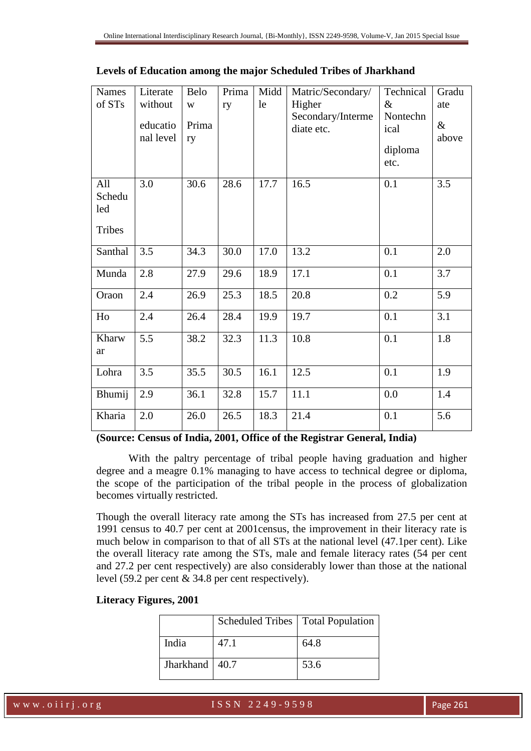| <b>Names</b><br>of STs                | Literate<br>without<br>educatio<br>nal level | Belo<br>W<br>Prima<br>ry | Prima<br>ry | Midd<br>le | Matric/Secondary/<br>Higher<br>Secondary/Interme<br>diate etc. | Technical<br>$\&$<br>Nontechn<br>ical<br>diploma<br>etc. | Gradu<br>ate<br>$\&$<br>above |
|---------------------------------------|----------------------------------------------|--------------------------|-------------|------------|----------------------------------------------------------------|----------------------------------------------------------|-------------------------------|
| All<br>Schedu<br>led<br><b>Tribes</b> | 3.0                                          | 30.6                     | 28.6        | 17.7       | 16.5                                                           | 0.1                                                      | 3.5                           |
| Santhal                               | 3.5                                          | 34.3                     | 30.0        | 17.0       | 13.2                                                           | 0.1                                                      | 2.0                           |
| Munda                                 | 2.8                                          | 27.9                     | 29.6        | 18.9       | 17.1                                                           | 0.1                                                      | 3.7                           |
| Oraon                                 | 2.4                                          | 26.9                     | 25.3        | 18.5       | 20.8                                                           | 0.2                                                      | 5.9                           |
| Ho                                    | 2.4                                          | 26.4                     | 28.4        | 19.9       | 19.7                                                           | 0.1                                                      | 3.1                           |
| Kharw<br>ar                           | 5.5                                          | 38.2                     | 32.3        | 11.3       | 10.8                                                           | 0.1                                                      | 1.8                           |
| Lohra                                 | 3.5                                          | 35.5                     | 30.5        | 16.1       | 12.5                                                           | 0.1                                                      | 1.9                           |
| Bhumij                                | 2.9                                          | 36.1                     | 32.8        | 15.7       | 11.1                                                           | 0.0                                                      | 1.4                           |
| Kharia                                | 2.0                                          | 26.0                     | 26.5        | 18.3       | 21.4                                                           | 0.1                                                      | 5.6                           |

|  |  |  | Levels of Education among the major Scheduled Tribes of Jharkhand |
|--|--|--|-------------------------------------------------------------------|
|  |  |  |                                                                   |

**(Source: Census of India, 2001, Office of the Registrar General, India)** 

With the paltry percentage of tribal people having graduation and higher degree and a meagre 0.1% managing to have access to technical degree or diploma, the scope of the participation of the tribal people in the process of globalization becomes virtually restricted.

Though the overall literacy rate among the STs has increased from 27.5 per cent at 1991 census to 40.7 per cent at 2001census, the improvement in their literacy rate is much below in comparison to that of all STs at the national level (47.1per cent). Like the overall literacy rate among the STs, male and female literacy rates (54 per cent and 27.2 per cent respectively) are also considerably lower than those at the national level (59.2 per cent & 34.8 per cent respectively).

|  |  | Literacy Figures, 2001 |  |
|--|--|------------------------|--|
|--|--|------------------------|--|

|                  | Scheduled Tribes   Total Population |      |
|------------------|-------------------------------------|------|
| India            | 47.1                                | 64.8 |
| Jharkhand   40.7 |                                     | 53.6 |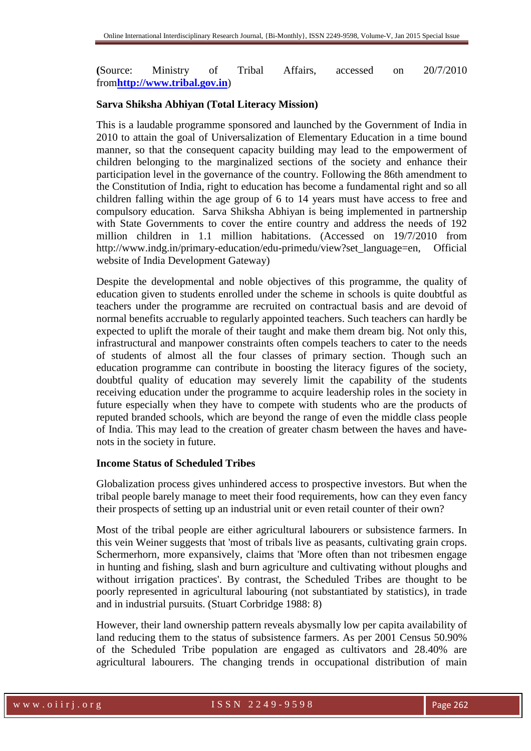**(**Source: Ministry of Tribal Affairs, accessed on 20/7/2010 from**http://www.tribal.gov.in**)

#### **Sarva Shiksha Abhiyan (Total Literacy Mission)**

This is a laudable programme sponsored and launched by the Government of India in 2010 to attain the goal of Universalization of Elementary Education in a time bound manner, so that the consequent capacity building may lead to the empowerment of children belonging to the marginalized sections of the society and enhance their participation level in the governance of the country. Following the 86th amendment to the Constitution of India, right to education has become a fundamental right and so all children falling within the age group of 6 to 14 years must have access to free and compulsory education. Sarva Shiksha Abhiyan is being implemented in partnership with State Governments to cover the entire country and address the needs of 192 million children in 1.1 million habitations. (Accessed on 19/7/2010 from http://www.indg.in/primary-education/edu-primedu/view?set\_language=en, Official website of India Development Gateway)

Despite the developmental and noble objectives of this programme, the quality of education given to students enrolled under the scheme in schools is quite doubtful as teachers under the programme are recruited on contractual basis and are devoid of normal benefits accruable to regularly appointed teachers. Such teachers can hardly be expected to uplift the morale of their taught and make them dream big. Not only this, infrastructural and manpower constraints often compels teachers to cater to the needs of students of almost all the four classes of primary section. Though such an education programme can contribute in boosting the literacy figures of the society, doubtful quality of education may severely limit the capability of the students receiving education under the programme to acquire leadership roles in the society in future especially when they have to compete with students who are the products of reputed branded schools, which are beyond the range of even the middle class people of India. This may lead to the creation of greater chasm between the haves and havenots in the society in future.

#### **Income Status of Scheduled Tribes**

Globalization process gives unhindered access to prospective investors. But when the tribal people barely manage to meet their food requirements, how can they even fancy their prospects of setting up an industrial unit or even retail counter of their own?

Most of the tribal people are either agricultural labourers or subsistence farmers. In this vein Weiner suggests that 'most of tribals live as peasants, cultivating grain crops. Schermerhorn, more expansively, claims that 'More often than not tribesmen engage in hunting and fishing, slash and burn agriculture and cultivating without ploughs and without irrigation practices'. By contrast, the Scheduled Tribes are thought to be poorly represented in agricultural labouring (not substantiated by statistics), in trade and in industrial pursuits. (Stuart Corbridge 1988: 8)

However, their land ownership pattern reveals abysmally low per capita availability of land reducing them to the status of subsistence farmers. As per 2001 Census 50.90% of the Scheduled Tribe population are engaged as cultivators and 28.40% are agricultural labourers. The changing trends in occupational distribution of main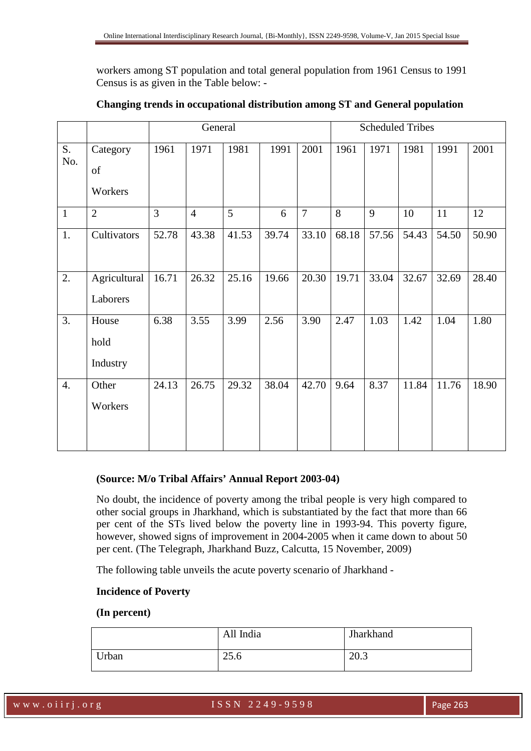workers among ST population and total general population from 1961 Census to 1991 Census is as given in the Table below: -

|              |                           | General |                |       |       | <b>Scheduled Tribes</b> |       |       |       |       |       |
|--------------|---------------------------|---------|----------------|-------|-------|-------------------------|-------|-------|-------|-------|-------|
| S.<br>No.    | Category<br>of<br>Workers | 1961    | 1971           | 1981  | 1991  | 2001                    | 1961  | 1971  | 1981  | 1991  | 2001  |
| $\mathbf{1}$ | $\overline{2}$            | 3       | $\overline{4}$ | 5     | 6     | $\overline{7}$          | 8     | 9     | 10    | 11    | 12    |
| 1.           | Cultivators               | 52.78   | 43.38          | 41.53 | 39.74 | 33.10                   | 68.18 | 57.56 | 54.43 | 54.50 | 50.90 |
| 2.           | Agricultural<br>Laborers  | 16.71   | 26.32          | 25.16 | 19.66 | 20.30                   | 19.71 | 33.04 | 32.67 | 32.69 | 28.40 |
| 3.           | House<br>hold<br>Industry | 6.38    | 3.55           | 3.99  | 2.56  | 3.90                    | 2.47  | 1.03  | 1.42  | 1.04  | 1.80  |
| 4.           | Other<br>Workers          | 24.13   | 26.75          | 29.32 | 38.04 | 42.70                   | 9.64  | 8.37  | 11.84 | 11.76 | 18.90 |

# **Changing trends in occupational distribution among ST and General population**

# **(Source: M/o Tribal Affairs' Annual Report 2003-04)**

No doubt, the incidence of poverty among the tribal people is very high compared to other social groups in Jharkhand, which is substantiated by the fact that more than 66 per cent of the STs lived below the poverty line in 1993-94. This poverty figure, however, showed signs of improvement in 2004-2005 when it came down to about 50 per cent. (The Telegraph, Jharkhand Buzz, Calcutta, 15 November, 2009)

The following table unveils the acute poverty scenario of Jharkhand -

# **Incidence of Poverty**

#### **(In percent)**

|       | All India | Jharkhand |
|-------|-----------|-----------|
| Urban | 25.6      | 20.3      |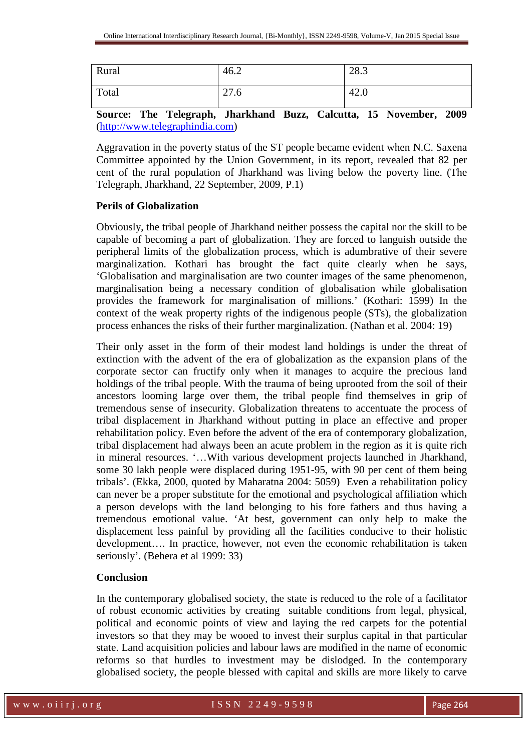| Rural | 46.2 | 28.3 |
|-------|------|------|
| Total | 27.6 | 42.0 |

**Source: The Telegraph, Jharkhand Buzz, Calcutta, 15 November, 2009** (http://www.telegraphindia.com)

Aggravation in the poverty status of the ST people became evident when N.C. Saxena Committee appointed by the Union Government, in its report, revealed that 82 per cent of the rural population of Jharkhand was living below the poverty line. (The Telegraph, Jharkhand, 22 September, 2009, P.1)

# **Perils of Globalization**

Obviously, the tribal people of Jharkhand neither possess the capital nor the skill to be capable of becoming a part of globalization. They are forced to languish outside the peripheral limits of the globalization process, which is adumbrative of their severe marginalization. Kothari has brought the fact quite clearly when he says, 'Globalisation and marginalisation are two counter images of the same phenomenon, marginalisation being a necessary condition of globalisation while globalisation provides the framework for marginalisation of millions.' (Kothari: 1599) In the context of the weak property rights of the indigenous people (STs), the globalization process enhances the risks of their further marginalization. (Nathan et al. 2004: 19)

Their only asset in the form of their modest land holdings is under the threat of extinction with the advent of the era of globalization as the expansion plans of the corporate sector can fructify only when it manages to acquire the precious land holdings of the tribal people. With the trauma of being uprooted from the soil of their ancestors looming large over them, the tribal people find themselves in grip of tremendous sense of insecurity. Globalization threatens to accentuate the process of tribal displacement in Jharkhand without putting in place an effective and proper rehabilitation policy. Even before the advent of the era of contemporary globalization, tribal displacement had always been an acute problem in the region as it is quite rich in mineral resources. '…With various development projects launched in Jharkhand, some 30 lakh people were displaced during 1951-95, with 90 per cent of them being tribals'. (Ekka, 2000, quoted by Maharatna 2004: 5059) Even a rehabilitation policy can never be a proper substitute for the emotional and psychological affiliation which a person develops with the land belonging to his fore fathers and thus having a tremendous emotional value. 'At best, government can only help to make the displacement less painful by providing all the facilities conducive to their holistic development…. In practice, however, not even the economic rehabilitation is taken seriously'. (Behera et al 1999: 33)

# **Conclusion**

In the contemporary globalised society, the state is reduced to the role of a facilitator of robust economic activities by creating suitable conditions from legal, physical, political and economic points of view and laying the red carpets for the potential investors so that they may be wooed to invest their surplus capital in that particular state. Land acquisition policies and labour laws are modified in the name of economic reforms so that hurdles to investment may be dislodged. In the contemporary globalised society, the people blessed with capital and skills are more likely to carve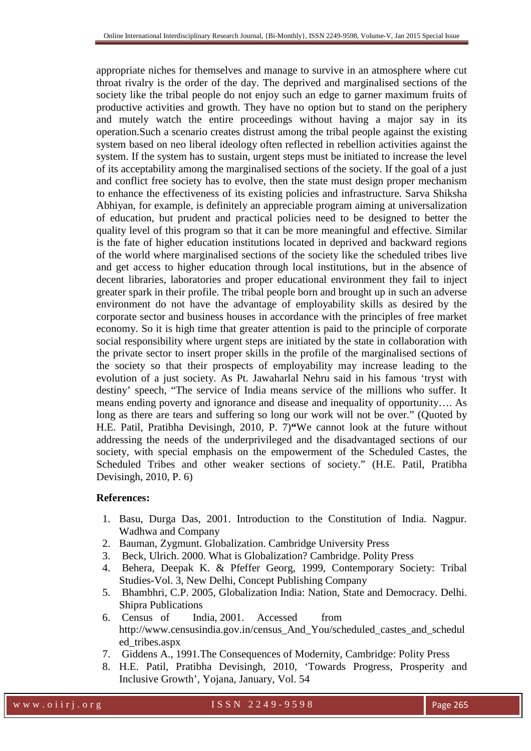appropriate niches for themselves and manage to survive in an atmosphere where cut throat rivalry is the order of the day. The deprived and marginalised sections of the society like the tribal people do not enjoy such an edge to garner maximum fruits of productive activities and growth. They have no option but to stand on the periphery and mutely watch the entire proceedings without having a major say in its operation.Such a scenario creates distrust among the tribal people against the existing system based on neo liberal ideology often reflected in rebellion activities against the system. If the system has to sustain, urgent steps must be initiated to increase the level of its acceptability among the marginalised sections of the society. If the goal of a just and conflict free society has to evolve, then the state must design proper mechanism to enhance the effectiveness of its existing policies and infrastructure. Sarva Shiksha Abhiyan, for example, is definitely an appreciable program aiming at universalization of education, but prudent and practical policies need to be designed to better the quality level of this program so that it can be more meaningful and effective. Similar is the fate of higher education institutions located in deprived and backward regions of the world where marginalised sections of the society like the scheduled tribes live and get access to higher education through local institutions, but in the absence of decent libraries, laboratories and proper educational environment they fail to inject greater spark in their profile. The tribal people born and brought up in such an adverse environment do not have the advantage of employability skills as desired by the corporate sector and business houses in accordance with the principles of free market economy. So it is high time that greater attention is paid to the principle of corporate social responsibility where urgent steps are initiated by the state in collaboration with the private sector to insert proper skills in the profile of the marginalised sections of the society so that their prospects of employability may increase leading to the evolution of a just society. As Pt. Jawaharlal Nehru said in his famous 'tryst with destiny' speech, "The service of India means service of the millions who suffer. It means ending poverty and ignorance and disease and inequality of opportunity…. As long as there are tears and suffering so long our work will not be over." (Quoted by H.E. Patil, Pratibha Devisingh, 2010, P. 7)**"**We cannot look at the future without addressing the needs of the underprivileged and the disadvantaged sections of our society, with special emphasis on the empowerment of the Scheduled Castes, the Scheduled Tribes and other weaker sections of society." (H.E. Patil, Pratibha Devisingh, 2010, P. 6)

# **References:**

- 1. Basu, Durga Das, 2001. Introduction to the Constitution of India. Nagpur. Wadhwa and Company
- 2. Bauman, Zygmunt. Globalization. Cambridge University Press
- 3. Beck, Ulrich. 2000. What is Globalization? Cambridge. Polity Press
- 4. Behera, Deepak K. & Pfeffer Georg, 1999, Contemporary Society: Tribal Studies-Vol. 3, New Delhi, Concept Publishing Company
- 5. Bhambhri, C.P. 2005, Globalization India: Nation, State and Democracy. Delhi. Shipra Publications
- 6. Census of India, 2001. Accessed from http://www.censusindia.gov.in/census\_And\_You/scheduled\_castes\_and\_schedul ed\_tribes.aspx
- 7. Giddens A., 1991.The Consequences of Modernity, Cambridge: Polity Press
- 8. H.E. Patil, Pratibha Devisingh, 2010, 'Towards Progress, Prosperity and Inclusive Growth', Yojana, January, Vol. 54